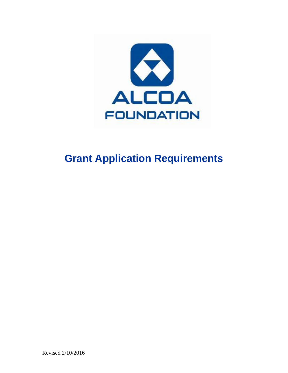

# **Grant Application Requirements**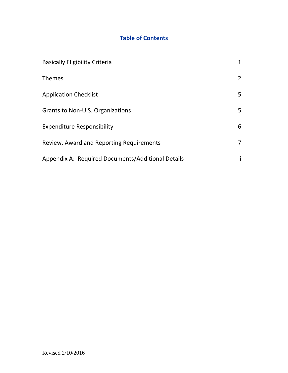# **Table of Contents**

| <b>Basically Eligibility Criteria</b>             | $\mathbf{1}$   |
|---------------------------------------------------|----------------|
| Themes                                            | $\overline{2}$ |
| <b>Application Checklist</b>                      | 5              |
| Grants to Non-U.S. Organizations                  | 5              |
| <b>Expenditure Responsibility</b>                 | 6              |
| Review, Award and Reporting Requirements          | 7              |
| Appendix A: Required Documents/Additional Details | i              |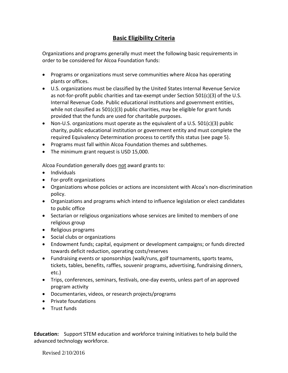# **Basic Eligibility Criteria**

Organizations and programs generally must meet the following basic requirements in order to be considered for Alcoa Foundation funds:

- Programs or organizations must serve communities where Alcoa has operating plants or offices.
- U.S. organizations must be classified by the United States Internal Revenue Service as not-for-profit public charities and tax-exempt under Section  $501(c)(3)$  of the U.S. Internal Revenue Code. Public educational institutions and government entities, while not classified as  $501(c)(3)$  public charities, may be eligible for grant funds provided that the funds are used for charitable purposes.
- Non-U.S. organizations must operate as the equivalent of a U.S.  $501(c)(3)$  public charity, public educational institution or government entity and must complete the required Equivalency Determination process to certify this status (see page 5).
- Programs must fall within Alcoa Foundation themes and subthemes.
- The minimum grant request is USD 15,000.

Alcoa Foundation generally does not award grants to:

- Individuals
- For-profit organizations
- Organizations whose policies or actions are inconsistent with Alcoa's non-discrimination policy.
- Organizations and programs which intend to influence legislation or elect candidates to public office
- Sectarian or religious organizations whose services are limited to members of one religious group
- Religious programs
- Social clubs or organizations
- Endowment funds; capital, equipment or development campaigns; or funds directed towards deficit reduction, operating costs/reserves
- Fundraising events or sponsorships (walk/runs, golf tournaments, sports teams, tickets, tables, benefits, raffles, souvenir programs, advertising, fundraising dinners, etc.)
- Trips, conferences, seminars, festivals, one-day events, unless part of an approved program activity
- Documentaries, videos, or research projects/programs
- Private foundations
- **•** Trust funds

**Education:** Support STEM education and workforce training initiatives to help build the advanced technology workforce.

Revised 2/10/2016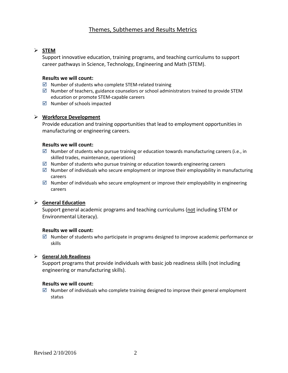# Themes, Subthemes and Results Metrics

# **STEM**

Support innovative education, training programs, and teaching curriculums to support career pathways in Science, Technology, Engineering and Math (STEM).

#### **Results we will count:**

- $\boxtimes$  Number of students who complete STEM-related training
- $\boxtimes$  Number of teachers, guidance counselors or school administrators trained to provide STEM education or promote STEM-capable careers
- $\boxdot$  Number of schools impacted

#### **Workforce Development**

Provide education and training opportunities that lead to employment opportunities in manufacturing or engineering careers.

#### **Results we will count:**

- $\boxtimes$  Number of students who pursue training or education towards manufacturing careers (i.e., in skilled trades, maintenance, operations)
- $\boxtimes$  Number of students who pursue training or education towards engineering careers
- $\boxtimes$  Number of individuals who secure employment or improve their employability in manufacturing careers
- $\boxtimes$  Number of individuals who secure employment or improve their employability in engineering careers

## **General Education**

Support general academic programs and teaching curriculums (not including STEM or Environmental Literacy).

## **Results we will count:**

 $\boxtimes$  Number of students who participate in programs designed to improve academic performance or skills

## **General Job Readiness**

Support programs that provide individuals with basic job readiness skills (not including engineering or manufacturing skills).

#### **Results we will count:**

 $\boxtimes$  Number of individuals who complete training designed to improve their general employment status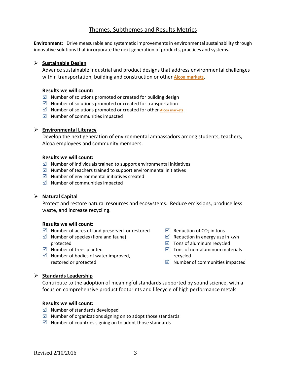# Themes, Subthemes and Results Metrics

**Environment:** Drive measurable and systematic improvements in environmental sustainability through innovative solutions that incorporate the next generation of products, practices and systems.

#### **Sustainable Design**

Advance sustainable industrial and product designs that address environmental challenges within transportation, building and construction or other [Alcoa markets](http://www.alcoa.com/global/en/products/overview.asp).

#### **Results we will count:**

- $\boxtimes$  Number of solutions promoted or created for building design
- $\boxtimes$  Number of solutions promoted or created for transportation
- $\boxtimes$  Number of solutions promoted or created for other [Alcoa markets](http://www.alcoa.com/global/en/products/overview.asp)
- $\boxtimes$  Number of communities impacted

#### **Environmental Literacy**

Develop the next generation of environmental ambassadors among students, teachers, Alcoa employees and community members.

#### **Results we will count:**

- $\boxtimes$  Number of individuals trained to support environmental initiatives
- $\boxtimes$  Number of teachers trained to support environmental initiatives
- $\boxtimes$  Number of environmental initiatives created
- $\boxtimes$  Number of communities impacted

#### **Natural Capital**

Protect and restore natural resources and ecosystems. Reduce emissions, produce less waste, and increase recycling.

#### **Results we will count:**

- $\boxtimes$  Number of acres of land preserved or restored
- $\boxtimes$  Number of species (flora and fauna) protected
- $\boxtimes$  Number of trees planted
- $\boxtimes$  Number of bodies of water improved, restored or protected
- $\boxtimes$  Reduction of CO<sub>2</sub> in tons
- $\boxtimes$  Reduction in energy use in kwh
- $\boxtimes$  Tons of aluminum recycled
- $\boxtimes$  Tons of non-aluminum materials recycled
- $\boxdot$  Number of communities impacted

#### **Standards Leadership**

Contribute to the adoption of meaningful standards supported by sound science, with a focus on comprehensive product footprints and lifecycle of high performance metals.

#### **Results we will count:**

- $\boxdot$  Number of standards developed
- $\boxtimes$  Number of organizations signing on to adopt those standards
- $\boxtimes$  Number of countries signing on to adopt those standards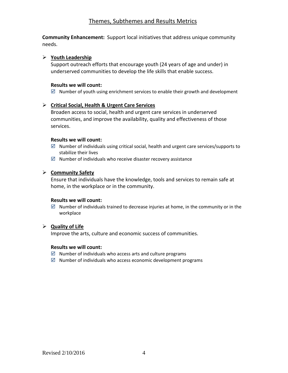# Themes, Subthemes and Results Metrics

**Community Enhancement:** Support local initiatives that address unique community needs.

## **Youth Leadership**

Support outreach efforts that encourage youth (24 years of age and under) in underserved communities to develop the life skills that enable success.

## **Results we will count:**

 $\boxtimes$  Number of youth using enrichment services to enable their growth and development

## **Critical Social, Health & Urgent Care Services**

Broaden access to social, health and urgent care services in underserved communities, and improve the availability, quality and effectiveness of those services.

## **Results we will count:**

- $\boxtimes$  Number of individuals using critical social, health and urgent care services/supports to stabilize their lives
- $\boxtimes$  Number of individuals who receive disaster recovery assistance

# **Community Safety**

Ensure that individuals have the knowledge, tools and services to remain safe at home, in the workplace or in the community.

## **Results we will count:**

 $\boxtimes$  Number of individuals trained to decrease injuries at home, in the community or in the workplace

## **Quality of Life**

Improve the arts, culture and economic success of communities.

## **Results we will count:**

- $\boxtimes$  Number of individuals who access arts and culture programs
- $\boxtimes$  Number of individuals who access economic development programs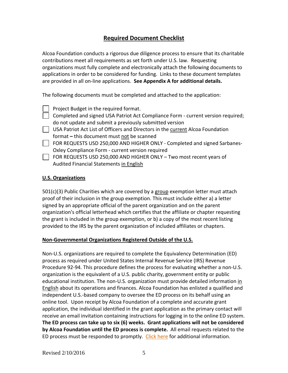# **Required Document Checklist**

Alcoa Foundation conducts a rigorous due diligence process to ensure that its charitable contributions meet all requirements as set forth under U.S. law. Requesting organizations must fully complete and electronically attach the following documents to applications in order to be considered for funding. Links to these document templates are provided in all on-line applications. **See Appendix A for additional details.**

The following documents must be completed and attached to the application:

Project Budget in the required format.

- Completed and signed USA Patriot Act Compliance Form current version required; do not update and submit a previously submitted version
- USA Patriot Act List of Officers and Directors in the current Alcoa Foundation format **–** this document must not be scanned
- FOR REQUESTS USD 250,000 AND HIGHER ONLY Completed and signed Sarbanes-Oxley Compliance Form - current version required
- $\Box$  FOR REQUESTS USD 250,000 AND HIGHER ONLY Two most recent years of Audited Financial Statements in English

# **U.S. Organizations**

501(c)(3) Public Charities which are covered by a group exemption letter must attach proof of their inclusion in the group exemption. This must include either a) a letter signed by an appropriate official of the parent organization and on the parent organization's official letterhead which certifies that the affiliate or chapter requesting the grant is included in the group exemption, or b) a copy of the most recent listing provided to the IRS by the parent organization of included affiliates or chapters.

# **Non-Governmental Organizations Registered Outside of the U.S.**

Non-U.S. organizations are required to complete the Equivalency Determination (ED) process as required under United States Internal Revenue Service (IRS) Revenue Procedure 92-94. This procedure defines the process for evaluating whether a non-U.S. organization is the equivalent of a U.S. public charity, government entity or public educational institution. The non-U.S. organization must provide detailed information in English about its operations and finances. Alcoa Foundation has enlisted a qualified and independent U.S.-based company to oversee the ED process on its behalf using an online tool. Upon receipt by Alcoa Foundation of a complete and accurate grant application, the individual identified in the grant application as the primary contact will receive an email invitation containing instructions for logging in to the online ED system. **The ED process can take up to six (6) weeks. Grant applications will not be considered by Alcoa Foundation until the ED process is complete.** All email requests related to the ED process must be responded to promptly. [Click here](http://www.alcoa.com/global/en/community/foundation/pdf/ED%20Process%20FAQs.pdf) for additional information.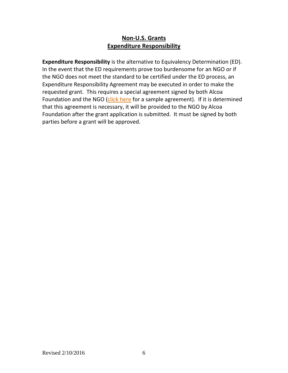# **Non-U.S. Grants Expenditure Responsibility**

**Expenditure Responsibility** is the alternative to Equivalency Determination (ED). In the event that the ED requirements prove too burdensome for an NGO or if the NGO does not meet the standard to be certified under the ED process, an Expenditure Responsibility Agreement may be executed in order to make the requested grant. This requires a special agreement signed by both Alcoa Foundation and the NGO [\(click here](http://www.alcoa.com/global/en/community/foundation/document_templates/ER_agreement.pdf) for a sample agreement). If it is determined that this agreement is necessary, it will be provided to the NGO by Alcoa Foundation after the grant application is submitted. It must be signed by both parties before a grant will be approved.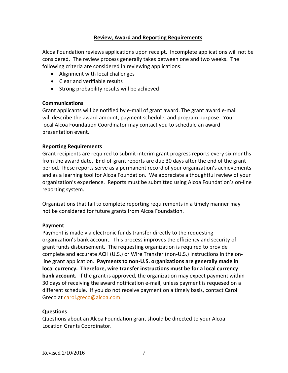# **Review**, **Award and Reporting Requirements**

Alcoa Foundation reviews applications upon receipt. Incomplete applications will not be considered. The review process generally takes between one and two weeks. The following criteria are considered in reviewing applications:

- Alignment with local challenges
- Clear and verifiable results
- Strong probability results will be achieved

# **Communications**

Grant applicants will be notified by e-mail of grant award. The grant award e-mail will describe the award amount, payment schedule, and program purpose. Your local Alcoa Foundation Coordinator may contact you to schedule an award presentation event.

# **Reporting Requirements**

Grant recipients are required to submit interim grant progress reports every six months from the award date. End-of-grant reports are due 30 days after the end of the grant period. These reports serve as a permanent record of your organization's achievements and as a learning tool for Alcoa Foundation. We appreciate a thoughtful review of your organization's experience. Reports must be submitted using Alcoa Foundation's on-line reporting system.

Organizations that fail to complete reporting requirements in a timely manner may not be considered for future grants from Alcoa Foundation.

# **Payment**

Payment is made via electronic funds transfer directly to the requesting organization's bank account. This process improves the efficiency and security of grant funds disbursement. The requesting organization is required to provide complete and accurate ACH (U.S.) or Wire Transfer (non-U.S.) instructions in the online grant application. **Payments to non-U.S. organizations are generally made in local currency. Therefore, wire transfer instructions must be for a local currency bank account.** If the grant is approved, the organization may expect payment within 30 days of receiving the award notification e-mail, unless payment is requesed on a different schedule. If you do not receive payment on a timely basis, contact Carol Greco at [carol.greco@alcoa.com.](mailto:carol.greco@alcoa.com)

# **Questions**

Questions about an Alcoa Foundation grant should be directed to your Alcoa Location Grants Coordinator.